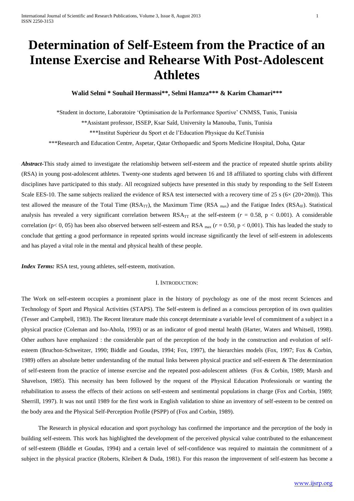# **Determination of Self-Esteem from the Practice of an Intense Exercise and Rehearse With Post-Adolescent Athletes**

**Walid Selmi \* Souhail Hermassi\*\*, Selmi Hamza\*\*\* & Karim Chamari\*\*\***

\*Student in doctorte, Laboratoire 'Optimisation de la Performance Sportive' CNMSS, Tunis, Tunisia

\*\*Assistant professor, ISSEP, Ksar Saîd, University la Manouba, Tunis, Tunisia

\*\*\*Institut Supérieur du Sport et de l'Education Physique du Kef.Tunisia

\*\*\*Research and Education Centre, Aspetar, Qatar Orthopaedic and Sports Medicine Hospital, Doha, Qatar

*Abstract***-**This study aimed to investigate the relationship between self-esteem and the practice of repeated shuttle sprints ability (RSA) in young post-adolescent athletes. Twenty-one students aged between 16 and 18 affiliated to sporting clubs with different disciplines have participated to this study. All recognized subjects have presented in this study by responding to the Self Esteem Scale EES-10. The same subjects realized the evidence of RSA test intersected with a recovery time of 25 s ( $6 \times (20+20m)$ ). This test allowed the measure of the Total Time ( $RSA_{TT}$ ), the Maximum Time ( $RSA_{max}$ ) and the Fatigue Index ( $RSA_{IF}$ ). Statistical analysis has revealed a very significant correlation between  $RSA_{TT}$  at the self-esteem ( $r = 0.58$ ,  $p < 0.001$ ). A considerable correlation (p< 0, 05) has been also observed between self-esteem and RSA max (*r* = 0.50, p < 0,001). This has leaded the study to conclude that getting a good performance in repeated sprints would increase significantly the level of self-esteem in adolescents and has played a vital role in the mental and physical health of these people.

*Index Terms:* RSA test, young athletes, self-esteem, motivation.

## I. INTRODUCTION:

The Work on self-esteem occupies a prominent place in the history of psychology as one of the most recent Sciences and Technology of Sport and Physical Activities (STAPS). The Self-esteem is defined as a conscious perception of its own qualities (Tesser and Campbell, 1983). The Recent literature made this concept determinate a variable level of commitment of a subject in a physical practice (Coleman and Iso-Ahola, 1993) or as an indicator of good mental health (Harter, Waters and Whitsell, 1998). Other authors have emphasized : the considerable part of the perception of the body in the construction and evolution of selfesteem (Bruchon-Schweitzer, 1990; Biddle and Goudas, 1994; Fox, 1997), the hierarchies models (Fox, 1997; Fox & Corbin, 1989) offers an absolute better understanding of the mutual links between physical practice and self-esteem & The determination of self-esteem from the practice of intense exercise and the repeated post-adolescent athletes (Fox & Corbin, 1989; Marsh and Shavelson, 1985). This necessity has been followed by the request of the Physical Education Professionals or wanting the rehabilitation to assess the effects of their actions on self-esteem and sentimental populations in charge (Fox and Corbin, 1989; Sherrill, 1997). It was not until 1989 for the first work in English validation to shine an inventory of self-esteem to be centred on the body area and the Physical Self-Perception Profile (PSPP) of (Fox and Corbin, 1989).

The Research in physical education and sport psychology has confirmed the importance and the perception of the body in building self-esteem. This work has highlighted the development of the perceived physical value contributed to the enhancement of self-esteem (Biddle et Goudas, 1994) and a certain level of self-confidence was required to maintain the commitment of a subject in the physical practice (Roberts, Kleibert & Duda, 1981). For this reason the improvement of self-esteem has become a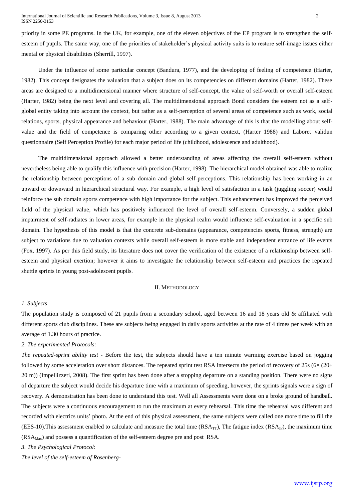priority in some PE programs. In the UK, for example, one of the eleven objectives of the EP program is to strengthen the selfesteem of pupils. The same way, one of the priorities of stakeholder's physical activity suits is to restore self-image issues either mental or physical disabilities (Sherrill, 1997).

Under the influence of some particular concept (Bandura, 1977), and the developing of feeling of competence (Harter, 1982). This concept designates the valuation that a subject does on its competencies on different domains (Harter, 1982). These areas are designed to a multidimensional manner where structure of self-concept, the value of self-worth or overall self-esteem (Harter, 1982) being the next level and covering all. The multidimensional approach Bond considers the esteem not as a selfglobal entity taking into account the context, but rather as a self-perception of several areas of competence such as work, social relations, sports, physical appearance and behaviour (Harter, 1988). The main advantage of this is that the modelling about selfvalue and the field of competence is comparing other according to a given context, (Harter 1988) and Laboret validun questionnaire (Self Perception Profile) for each major period of life (childhood, adolescence and adulthood).

The multidimensional approach allowed a better understanding of areas affecting the overall self-esteem without nevertheless being able to qualify this influence with precision (Harter, 1998). The hierarchical model obtained was able to realize the relationship between perceptions of a sub domain and global self-perceptions. This relationship has been working in an upward or downward in hierarchical structural way. For example, a high level of satisfaction in a task (juggling soccer) would reinforce the sub domain sports competence with high importance for the subject. This enhancement has improved the perceived field of the physical value, which has positively influenced the level of overall self-esteem. Conversely, a sudden global impairment of self-radiates in lower areas, for example in the physical realm would influence self-evaluation in a specific sub domain. The hypothesis of this model is that the concrete sub-domains (appearance, competencies sports, fitness, strength) are subject to variations due to valuation contexts while overall self-esteem is more stable and independent entrance of life events (Fox, 1997). As per this field study, its literature does not cover the verification of the existence of a relationship between selfesteem and physical exertion; however it aims to investigate the relationship between self-esteem and practices the repeated shuttle sprints in young post-adolescent pupils.

#### II. METHODOLOGY

## *1. Subjects*

The population study is composed of 21 pupils from a secondary school, aged between 16 and 18 years old  $\&$  affiliated with different sports club disciplines. These are subjects being engaged in daily sports activities at the rate of 4 times per week with an average of 1.30 hours of practice.

## *2. The experimented Protocols:*

*The repeated-sprint ability test -* Before the test, the subjects should have a ten minute warming exercise based on jogging followed by some acceleration over short distances. The repeated sprint test RSA intersects the period of recovery of 25s (6× (20+ 20 m)) (Impellizzeri, 2008). The first sprint has been done after a stopping departure on a standing position. There were no signs of departure the subject would decide his departure time with a maximum of speeding, however, the sprints signals were a sign of recovery. A demonstration has been done to understand this test. Well all Assessments were done on a broke ground of handball. The subjects were a continuous encouragement to run the maximum at every rehearsal. This time the rehearsal was different and recorded with electrics units' photo. At the end of this physical assessment, the same subjects were called one more time to fill the (EES-10). This assessment enabled to calculate and measure the total time ( $RSA_{TT}$ ), The fatigue index ( $RSA_{TF}$ ), the maximum time  $(RSA<sub>Max</sub>)$  and possess a quantification of the self-esteem degree pre and post RSA.

*3. The Psychological Protocol:*

*The level of the self-esteem of Rosenberg-*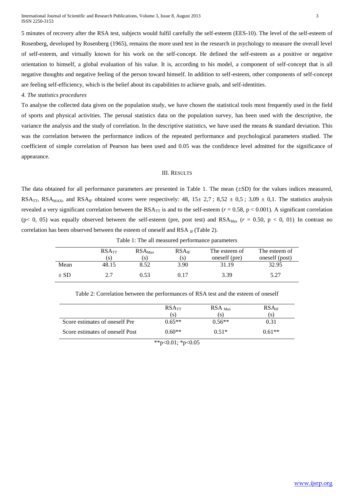5 minutes of recovery after the RSA test, subjects would fulfil carefully the self-esteem (EES-10). The level of the self-esteem of Rosenberg, developed by Rosenberg (1965), remains the more used test in the research in psychology to measure the overall level of self-esteem, and virtually known for his work on the self-concept. He defined the self-esteem as a positive or negative orientation to himself, a global evaluation of his value. It is, according to his model, a component of self-concept that is all negative thoughts and negative feeling of the person toward himself. In addition to self-esteem, other components of self-concept are feeling self-efficiency, which is the belief about its capabilities to achieve goals, and self-identities.

*4. The statistics procedures*

To analyse the collected data given on the population study, we have chosen the statistical tools most frequently used in the field of sports and physical activities. The perusal statistics data on the population survey, has been used with the descriptive, the variance the analysis and the study of correlation. In the descriptive statistics, we have used the means & standard deviation. This was the correlation between the performance indices of the repeated performance and psychological parameters studied. The coefficient of simple correlation of Pearson has been used and 0.05 was the confidence level admitted for the significance of appearance.

#### III. RESULTS

The data obtained for all performance parameters are presented in Table 1. The mean  $(\pm SD)$  for the values indices measured, RSA<sub>TT</sub>, RSA<sub>MAX</sub>, and RSA<sub>IF</sub> obtained scores were respectively: 48,  $15\pm 2.7$ ;  $8.52 \pm 0.5$ ;  $3.09 \pm 0.1$ . The statistics analysis revealed a very significant correlation between the  $RSA_{TT}$  is and to the self-esteem ( $r = 0.58$ ,  $p < 0.001$ ). A significant correlation (p< 0, 05) was equally observed between the self-esteem (pre, post test) and  $RSA_{\text{Max}}$  ( $r = 0.50$ , p < 0, 01). In contrast no correlation has been observed between the esteem of oneself and RSA  $_{IF}$  (Table 2).

|          | RSA <sub>TT</sub><br>'S) | $RSA_{\text{Max}}$<br>[S] | RSA <sub>IF</sub><br>(S) | The esteem of<br>oneself (pre) | The esteem of<br>oneself (post) |
|----------|--------------------------|---------------------------|--------------------------|--------------------------------|---------------------------------|
| Mean     | 48.15                    | 8.52                      | 3.90                     | 31.19                          | 32.95                           |
| $\pm$ SD | 2.7                      | 0.53                      | 0.17                     | 3.39                           | 5.27                            |

Table 1: The all measured performance parameters

|                                 | $RSA_{TT}$ | $RSA_{\text{Max}}$ | $RSA_{IF}$ |
|---------------------------------|------------|--------------------|------------|
|                                 | .S)        |                    | S)         |
| Score estimates of oneself Pre  | $0.65**$   | $0.56**$           | 0.31       |
| Score estimates of oneself Post | $0.60**$   | $0.51*$            | $0.61**$   |

Table 2: Correlation between the performances of RSA test and the esteem of oneself

\*\*p<0.01; \*p<0.05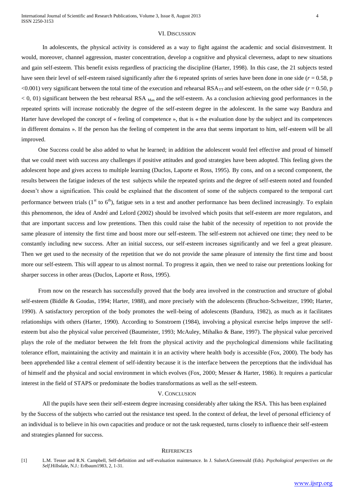#### VI. DISCUSSION

In adolescents, the physical activity is considered as a way to fight against the academic and social disinvestment. It would, moreover, channel aggression, master concentration, develop a cognitive and physical cleverness, adapt to new situations and gain self-esteem. This benefit exists regardless of practicing the discipline (Harter, 1998). In this case, the 21 subjects tested have seen their level of self-esteem raised significantly after the 6 repeated sprints of series have been done in one side ( $r = 0.58$ , p  $< 0.001$ ) very significant between the total time of the execution and rehearsal RSA<sub>TT</sub> and self-esteem, on the other side ( $r = 0.50$ , p  $<$  0, 01) significant between the best rehearsal RSA  $_{\text{Max}}$  and the self-esteem. As a conclusion achieving good performances in the repeated sprints will increase noticeably the degree of the self-esteem degree in the adolescent. In the same way Bandura and Harter have developed the concept of « feeling of competence », that is « the evaluation done by the subject and its competences in different domains ». If the person has the feeling of competent in the area that seems important to him, self-esteem will be all improved.

One Success could be also added to what he learned; in addition the adolescent would feel effective and proud of himself that we could meet with success any challenges if positive attitudes and good strategies have been adopted. This feeling gives the adolescent hope and gives access to multiple learning (Duclos, Laporte et Ross, 1995). By cons, and on a second component, the results between the fatigue indexes of the test subjects while the repeated sprints and the degree of self-esteem noted and founded doesn't show a signification. This could be explained that the discontent of some of the subjects compared to the temporal cart performance between trials  $(1<sup>st</sup>$  to  $6<sup>th</sup>$ ), fatigue sets in a test and another performance has been declined increasingly. To explain this phenomenon, the idea of André and Lelord (2002) should be involved which posits that self-esteem are more regulators, and that are important success and low pretentions. Then this could raise the habit of the necessity of repetition to not provide the same pleasure of intensity the first time and boost more our self-esteem. The self-esteem not achieved one time; they need to be constantly including new success. After an initial success, our self-esteem increases significantly and we feel a great pleasure. Then we get used to the necessity of the repetition that we do not provide the same pleasure of intensity the first time and boost more our self-esteem. This will appear to us almost normal. To progress it again, then we need to raise our pretentions looking for sharper success in other areas (Duclos, Laporte et Ross, 1995).

From now on the research has successfully proved that the body area involved in the construction and structure of global self-esteem (Biddle & Goudas, 1994; Harter, 1988), and more precisely with the adolescents (Bruchon-Schweitzer, 1990; Harter, 1990). A satisfactory perception of the body promotes the well-being of adolescents (Bandura, 1982), as much as it facilitates relationships with others (Harter, 1990). According to Sonstroem (1984), involving a physical exercise helps improve the selfesteem but also the physical value perceived (Baumeister, 1993; McAuley, Mihalko & Bane, 1997). The physical value perceived plays the role of the mediator between the felt from the physical activity and the psychological dimensions while facilitating tolerance effort, maintaining the activity and maintain it in an activity where health body is accessible (Fox, 2000). The body has been apprehended like a central element of self-identity because it is the interface between the perceptions that the individual has of himself and the physical and social environment in which evolves (Fox, 2000; Messer & Harter, 1986). It requires a particular interest in the field of STAPS or predominate the bodies transformations as well as the self-esteem.

#### V. CONCLUSION

All the pupils have seen their self-esteem degree increasing considerably after taking the RSA. This has been explained by the Success of the subjects who carried out the resistance test speed. In the context of defeat, the level of personal efficiency of an individual is to believe in his own capacities and produce or not the task requested, turns closely to influence their self-esteem and strategies planned for success.

#### **REFERENCES**

[1] L.M. Tesser and R.N. Campbell, Self-definition and self-evaluation maintenance. In J. SulsetA.Greenwald (Eds). *Psychological perspectives on the Self.*Hillsdale, N.J.: Erlbaum1983, 2, 1-31.